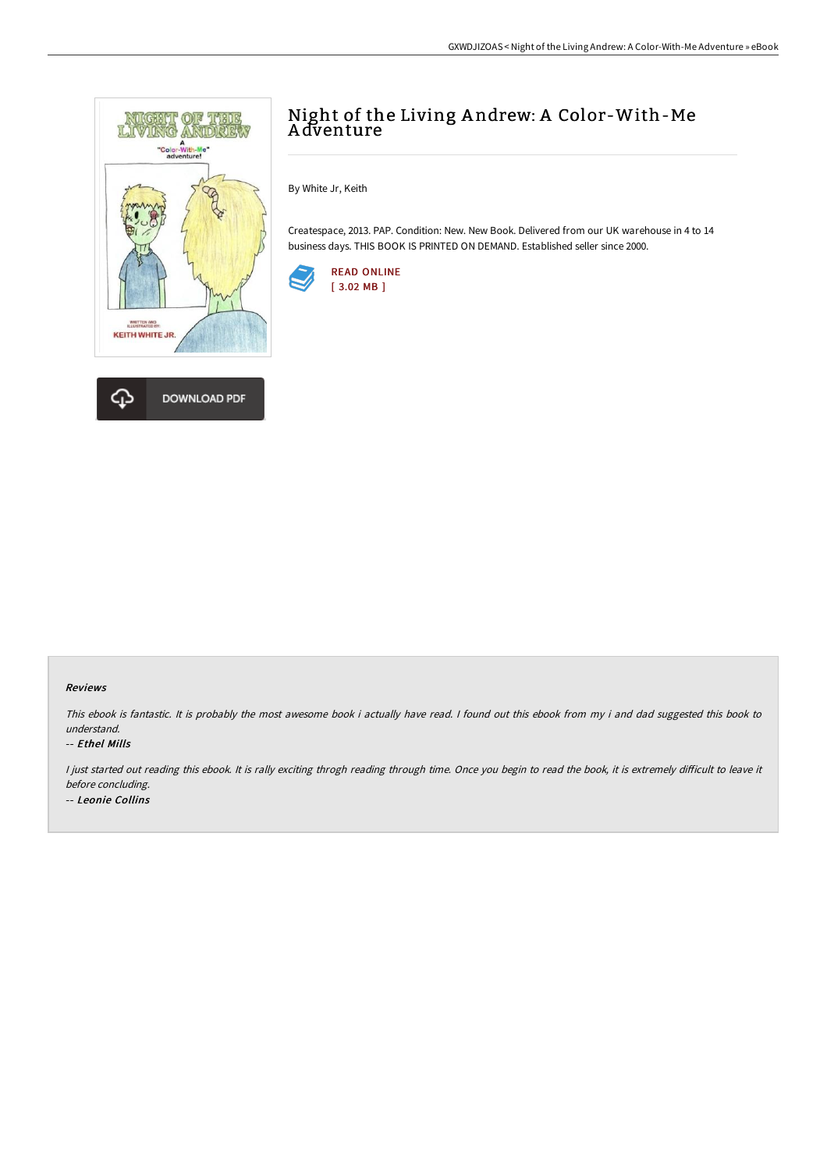

# Night of the Living A ndrew: A Color-With-Me A dventure

By White Jr, Keith

Createspace, 2013. PAP. Condition: New. New Book. Delivered from our UK warehouse in 4 to 14 business days. THIS BOOK IS PRINTED ON DEMAND. Established seller since 2000.



## Reviews

This ebook is fantastic. It is probably the most awesome book i actually have read. <sup>I</sup> found out this ebook from my i and dad suggested this book to understand.

## -- Ethel Mills

I just started out reading this ebook. It is rally exciting throgh reading through time. Once you begin to read the book, it is extremely difficult to leave it before concluding. -- Leonie Collins